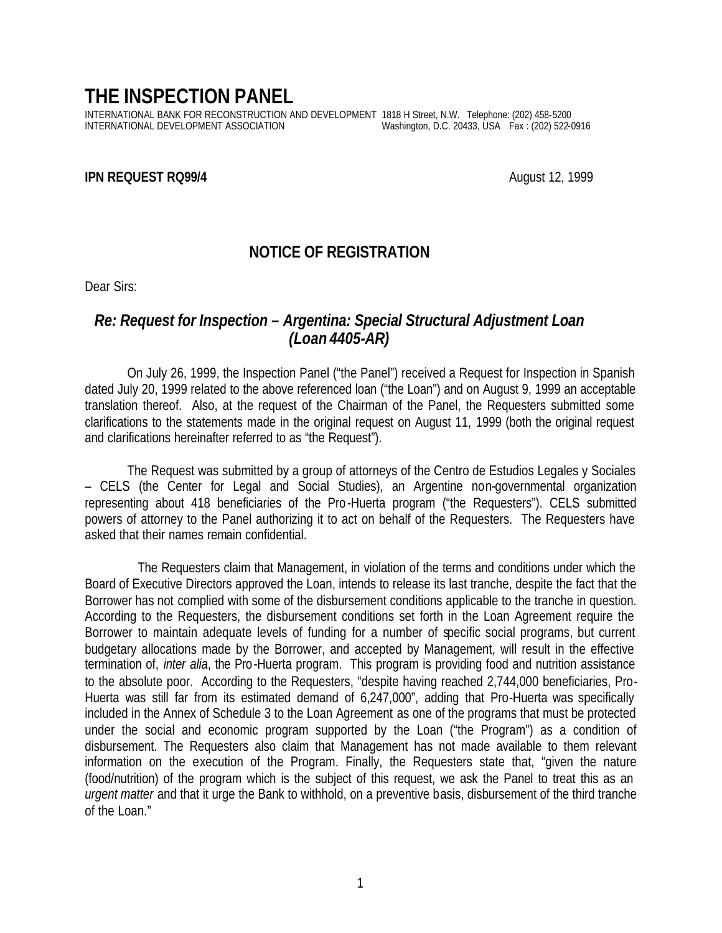# **THE INSPECTION PANEL**

INTERNATIONAL BANK FOR RECONSTRUCTION AND DEVELOPMENT 1818 H Street, N.W. Telephone: (202) 458-5200

# Washington, D.C. 20433, USA Fax : (202) 522-0916

#### **IPN REQUEST RQ99/4** August 12, 1999

### **NOTICE OF REGISTRATION**

Dear Sirs:

### *Re: Request for Inspection – Argentina: Special Structural Adjustment Loan (Loan 4405-AR)*

On July 26, 1999, the Inspection Panel ("the Panel") received a Request for Inspection in Spanish dated July 20, 1999 related to the above referenced loan ("the Loan") and on August 9, 1999 an acceptable translation thereof. Also, at the request of the Chairman of the Panel, the Requesters submitted some clarifications to the statements made in the original request on August 11, 1999 (both the original request and clarifications hereinafter referred to as "the Request").

The Request was submitted by a group of attorneys of the Centro de Estudios Legales y Sociales – CELS (the Center for Legal and Social Studies), an Argentine non-governmental organization representing about 418 beneficiaries of the Pro -Huerta program ("the Requesters"). CELS submitted powers of attorney to the Panel authorizing it to act on behalf of the Requesters. The Requesters have asked that their names remain confidential.

 The Requesters claim that Management, in violation of the terms and conditions under which the Board of Executive Directors approved the Loan, intends to release its last tranche, despite the fact that the Borrower has not complied with some of the disbursement conditions applicable to the tranche in question. According to the Requesters, the disbursement conditions set forth in the Loan Agreement require the Borrower to maintain adequate levels of funding for a number of specific social programs, but current budgetary allocations made by the Borrower, and accepted by Management, will result in the effective termination of, *inter alia*, the Pro-Huerta program. This program is providing food and nutrition assistance to the absolute poor. According to the Requesters, "despite having reached 2,744,000 beneficiaries, Pro-Huerta was still far from its estimated demand of 6,247,000", adding that Pro-Huerta was specifically included in the Annex of Schedule 3 to the Loan Agreement as one of the programs that must be protected under the social and economic program supported by the Loan ("the Program") as a condition of disbursement. The Requesters also claim that Management has not made available to them relevant information on the execution of the Program. Finally, the Requesters state that, "given the nature (food/nutrition) of the program which is the subject of this request, we ask the Panel to treat this as an *urgent matter* and that it urge the Bank to withhold, on a preventive basis, disbursement of the third tranche of the Loan."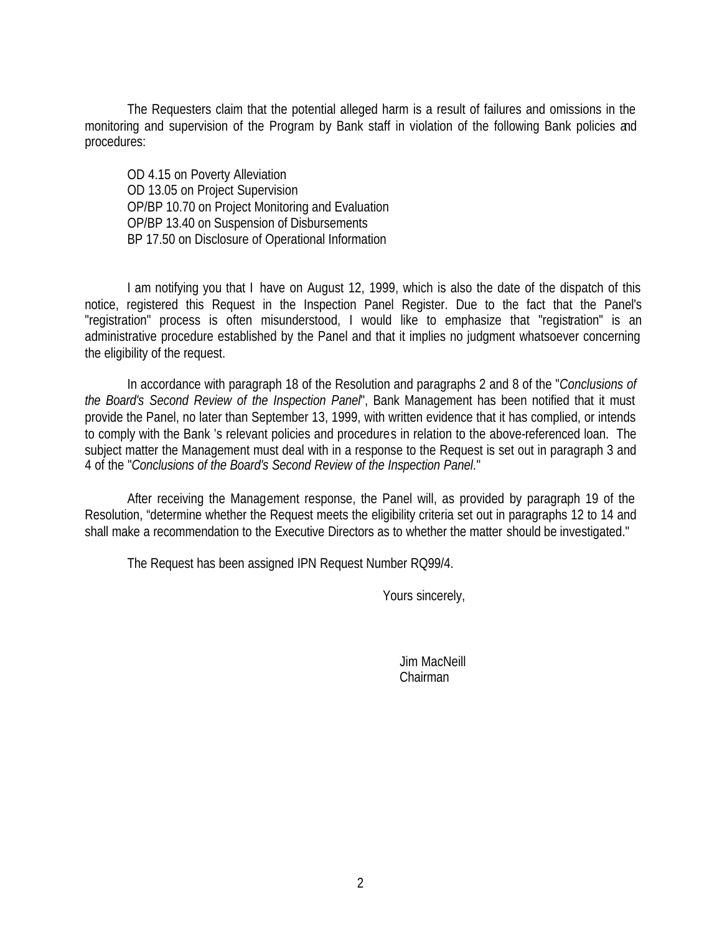The Requesters claim that the potential alleged harm is a result of failures and omissions in the monitoring and supervision of the Program by Bank staff in violation of the following Bank policies and procedures:

OD 4.15 on Poverty Alleviation OD 13.05 on Project Supervision OP/BP 10.70 on Project Monitoring and Evaluation OP/BP 13.40 on Suspension of Disbursements BP 17.50 on Disclosure of Operational Information

I am notifying you that I have on August 12, 1999, which is also the date of the dispatch of this notice, registered this Request in the Inspection Panel Register. Due to the fact that the Panel's "registration" process is often misunderstood, I would like to emphasize that "registration" is an administrative procedure established by the Panel and that it implies no judgment whatsoever concerning the eligibility of the request.

In accordance with paragraph 18 of the Resolution and paragraphs 2 and 8 of the "*Conclusions of the Board's Second Review of the Inspection Panel*", Bank Management has been notified that it must provide the Panel, no later than September 13, 1999, with written evidence that it has complied, or intends to comply with the Bank 's relevant policies and procedures in relation to the above-referenced loan. The subject matter the Management must deal with in a response to the Request is set out in paragraph 3 and 4 of the "*Conclusions of the Board's Second Review of the Inspection Panel*."

After receiving the Management response, the Panel will, as provided by paragraph 19 of the Resolution, "determine whether the Request meets the eligibility criteria set out in paragraphs 12 to 14 and shall make a recommendation to the Executive Directors as to whether the matter should be investigated."

The Request has been assigned IPN Request Number RQ99/4.

Yours sincerely,

 Jim MacNeill Chairman